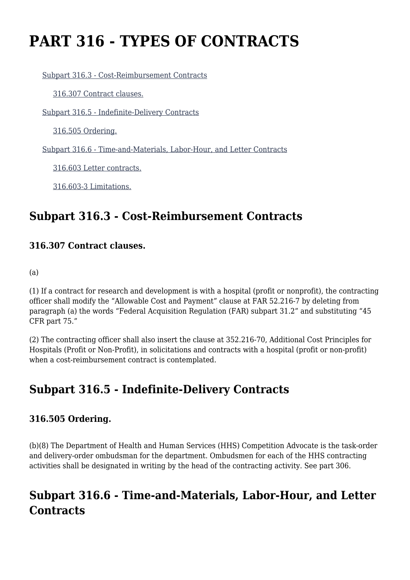# **PART 316 - TYPES OF CONTRACTS**

[Subpart 316.3 - Cost-Reimbursement Contracts](https://origin-www.acquisition.gov/%5Brp:link:hhsar-part-316%5D#Subpart_316_3_T48_4013171)

[316.307 Contract clauses.](https://origin-www.acquisition.gov/%5Brp:link:hhsar-part-316%5D#Section_316_307_T48_401317111)

[Subpart 316.5 - Indefinite-Delivery Contracts](https://origin-www.acquisition.gov/%5Brp:link:hhsar-part-316%5D#Subpart_316_5_T48_4013172)

[316.505 Ordering.](https://origin-www.acquisition.gov/%5Brp:link:hhsar-part-316%5D#Section_316_505_T48_401317211)

[Subpart 316.6 - Time-and-Materials, Labor-Hour, and Letter Contracts](https://origin-www.acquisition.gov/%5Brp:link:hhsar-part-316%5D#Subpart_316_6_T48_4013173)

[316.603 Letter contracts.](https://origin-www.acquisition.gov/%5Brp:link:hhsar-part-316%5D#Section_316_603_T48_401317311)

[316.603-3 Limitations.](https://origin-www.acquisition.gov/%5Brp:link:hhsar-part-316%5D#Section_316_603_3_T48_401317312)

## **Subpart 316.3 - Cost-Reimbursement Contracts**

#### **316.307 Contract clauses.**

(a)

(1) If a contract for research and development is with a hospital (profit or nonprofit), the contracting officer shall modify the "Allowable Cost and Payment" clause at FAR 52.216-7 by deleting from paragraph (a) the words "Federal Acquisition Regulation (FAR) subpart 31.2" and substituting "45 CFR part 75."

(2) The contracting officer shall also insert the clause at 352.216-70, Additional Cost Principles for Hospitals (Profit or Non-Profit), in solicitations and contracts with a hospital (profit or non-profit) when a cost-reimbursement contract is contemplated.

## **Subpart 316.5 - Indefinite-Delivery Contracts**

### **316.505 Ordering.**

(b)(8) The Department of Health and Human Services (HHS) Competition Advocate is the task-order and delivery-order ombudsman for the department. Ombudsmen for each of the HHS contracting activities shall be designated in writing by the head of the contracting activity. See part 306.

# **Subpart 316.6 - Time-and-Materials, Labor-Hour, and Letter Contracts**